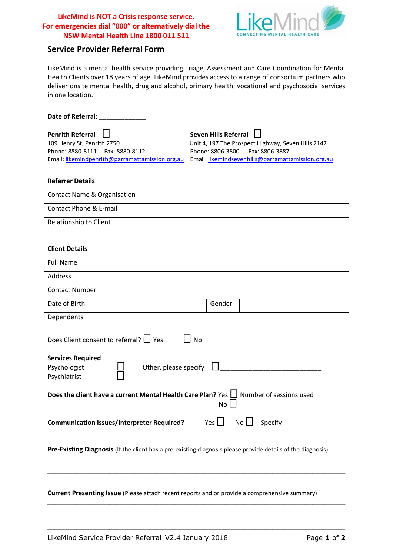### **LikeMind is NOT a Crisis response service. For emergencies dial "000" or alternatively dial the NSW Mental Health Line 1800 011 511**



# **Service Provider Referral Form**

LikeMind is a mental health service providing Triage, Assessment and Care Coordination for Mental Health Clients over 18 years of age. LikeMind provides access to a range of consortium partners who deliver onsite mental health, drug and alcohol, primary health, vocational and psychosocial services in one location.

**Date of Referral:** \_\_\_\_\_\_\_\_\_\_\_\_\_

**Penrith Referral**  $\Box$  **Seven Hills Referral □** Phone: 8880-8111 Fax: 8880-8112 Phone: 8806-3800 Fax: 8806-3887 Email[: likemindpenrith@parramattamission.org.au](mailto:likemindpenrith@parramattamission.org.au) Email[: likemindsevenhills@parramattamission.org.au](mailto:likemindsevenhills@parramattamission.org.au)

109 Henry St, Penrith 2750 Unit 4, 197 The Prospect Highway, Seven Hills 2147

#### **Referrer Details**

| <b>Contact Name &amp; Organisation</b> |  |
|----------------------------------------|--|
| Contact Phone & E-mail                 |  |
| Relationship to Client                 |  |

#### **Client Details**

| <b>Full Name</b>                                                                                              |                       |                          |                                                                                                             |  |
|---------------------------------------------------------------------------------------------------------------|-----------------------|--------------------------|-------------------------------------------------------------------------------------------------------------|--|
| Address                                                                                                       |                       |                          |                                                                                                             |  |
| <b>Contact Number</b>                                                                                         |                       |                          |                                                                                                             |  |
| Date of Birth                                                                                                 |                       | Gender                   |                                                                                                             |  |
| Dependents                                                                                                    |                       |                          |                                                                                                             |  |
| Does Client consent to referral?   Yes                                                                        | l I No                |                          |                                                                                                             |  |
| <b>Services Required</b><br>Psychologist<br>Psychiatrist                                                      | Other, please specify |                          |                                                                                                             |  |
| Does the client have a current Mental Health Care Plan? Yes $\Box$ Number of sessions used<br>No <sub>1</sub> |                       |                          |                                                                                                             |  |
| <b>Communication Issues/Interpreter Required?</b>                                                             |                       | Yes $\lfloor \, \rfloor$ | $\overline{\phantom{a}}$ No $\Box$ Specify ________                                                         |  |
|                                                                                                               |                       |                          | Pre-Existing Diagnosis (If the client has a pre-existing diagnosis please provide details of the diagnosis) |  |
| <b>Current Presenting Issue</b> (Please attach recent reports and or provide a comprehensive summary)         |                       |                          |                                                                                                             |  |
|                                                                                                               |                       |                          |                                                                                                             |  |